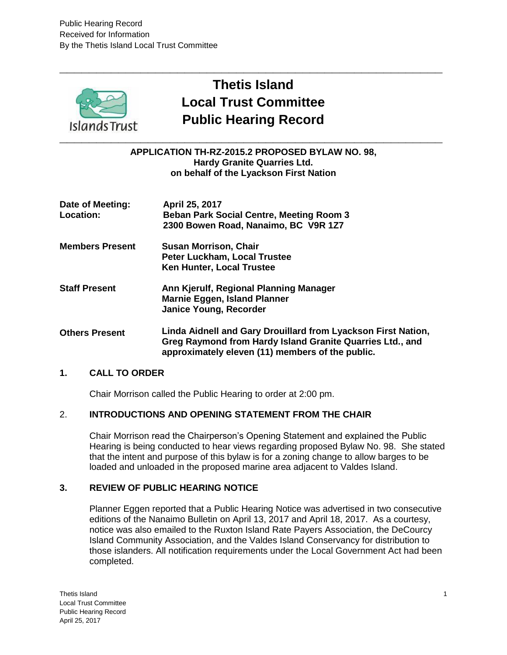

# **Thetis Island Local Trust Committee Public Hearing Record**

**\_\_\_\_\_\_\_\_\_\_\_\_\_\_\_\_\_\_\_\_\_\_\_\_\_\_\_\_\_\_\_\_\_\_\_\_\_\_\_\_\_\_\_\_\_\_\_\_\_\_\_\_**

**APPLICATION TH-RZ-2015.2 PROPOSED BYLAW NO. 98, Hardy Granite Quarries Ltd. on behalf of the Lyackson First Nation**

**Date of Meeting: Location: April 25, 2017 Beban Park Social Centre, Meeting Room 3 2300 Bowen Road, Nanaimo, BC V9R 1Z7 Members Present Susan Morrison, Chair Peter Luckham, Local Trustee Ken Hunter, Local Trustee Staff Present Others Present Ann Kjerulf, Regional Planning Manager Marnie Eggen, Island Planner Janice Young, Recorder Linda Aidnell and Gary Drouillard from Lyackson First Nation, Greg Raymond from Hardy Island Granite Quarries Ltd., and** 

### **1. CALL TO ORDER**

Chair Morrison called the Public Hearing to order at 2:00 pm.

### 2. **INTRODUCTIONS AND OPENING STATEMENT FROM THE CHAIR**

Chair Morrison read the Chairperson's Opening Statement and explained the Public Hearing is being conducted to hear views regarding proposed Bylaw No. 98. She stated that the intent and purpose of this bylaw is for a zoning change to allow barges to be loaded and unloaded in the proposed marine area adjacent to Valdes Island.

**approximately eleven (11) members of the public.**

### **3. REVIEW OF PUBLIC HEARING NOTICE**

Planner Eggen reported that a Public Hearing Notice was advertised in two consecutive editions of the Nanaimo Bulletin on April 13, 2017 and April 18, 2017. As a courtesy, notice was also emailed to the Ruxton Island Rate Payers Association, the DeCourcy Island Community Association, and the Valdes Island Conservancy for distribution to those islanders. All notification requirements under the Local Government Act had been completed.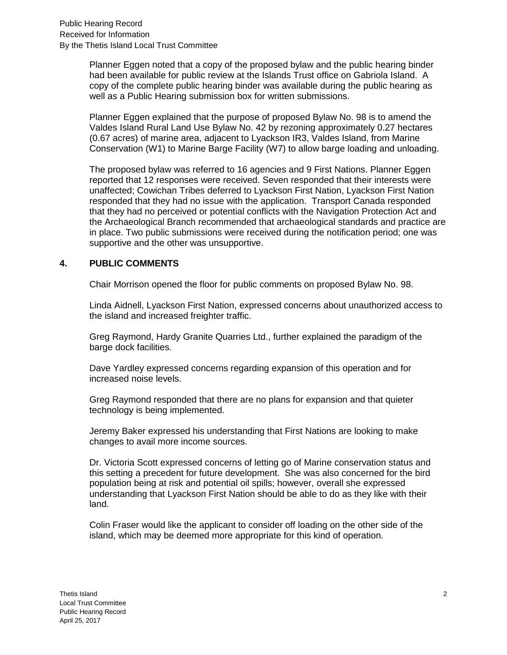Planner Eggen noted that a copy of the proposed bylaw and the public hearing binder had been available for public review at the Islands Trust office on Gabriola Island. A copy of the complete public hearing binder was available during the public hearing as well as a Public Hearing submission box for written submissions.

Planner Eggen explained that the purpose of proposed Bylaw No. 98 is to amend the Valdes Island Rural Land Use Bylaw No. 42 by rezoning approximately 0.27 hectares (0.67 acres) of marine area, adjacent to Lyackson IR3, Valdes Island, from Marine Conservation (W1) to Marine Barge Facility (W7) to allow barge loading and unloading.

The proposed bylaw was referred to 16 agencies and 9 First Nations. Planner Eggen reported that 12 responses were received. Seven responded that their interests were unaffected; Cowichan Tribes deferred to Lyackson First Nation, Lyackson First Nation responded that they had no issue with the application. Transport Canada responded that they had no perceived or potential conflicts with the Navigation Protection Act and the Archaeological Branch recommended that archaeological standards and practice are in place. Two public submissions were received during the notification period; one was supportive and the other was unsupportive.

## **4. PUBLIC COMMENTS**

Chair Morrison opened the floor for public comments on proposed Bylaw No. 98.

Linda Aidnell, Lyackson First Nation, expressed concerns about unauthorized access to the island and increased freighter traffic.

Greg Raymond, Hardy Granite Quarries Ltd., further explained the paradigm of the barge dock facilities.

Dave Yardley expressed concerns regarding expansion of this operation and for increased noise levels.

Greg Raymond responded that there are no plans for expansion and that quieter technology is being implemented.

Jeremy Baker expressed his understanding that First Nations are looking to make changes to avail more income sources.

Dr. Victoria Scott expressed concerns of letting go of Marine conservation status and this setting a precedent for future development. She was also concerned for the bird population being at risk and potential oil spills; however, overall she expressed understanding that Lyackson First Nation should be able to do as they like with their land.

Colin Fraser would like the applicant to consider off loading on the other side of the island, which may be deemed more appropriate for this kind of operation.